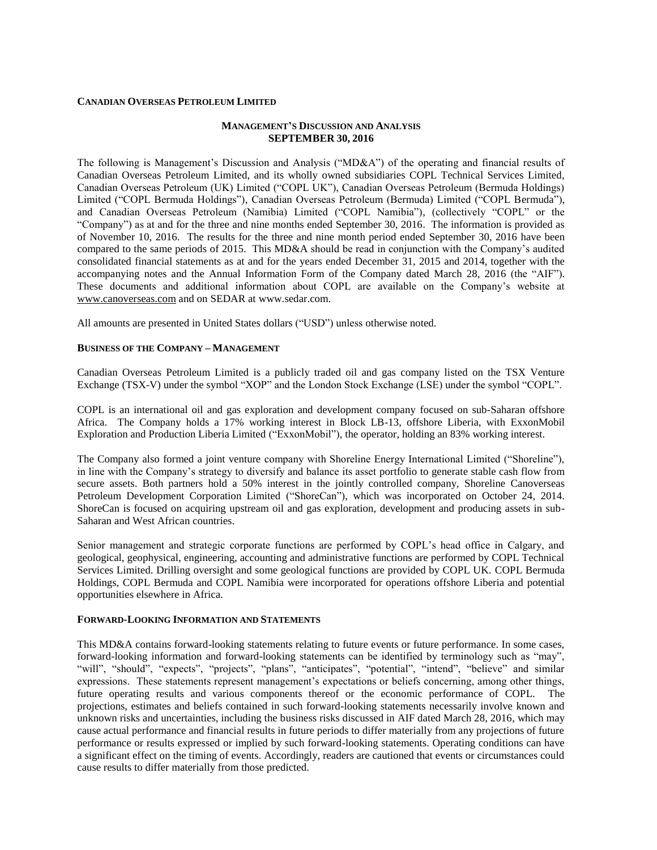#### **CANADIAN OVERSEAS PETROLEUM LIMITED**

#### **MANAGEMENT'S DISCUSSION AND ANALYSIS SEPTEMBER 30, 2016**

The following is Management's Discussion and Analysis ("MD&A") of the operating and financial results of Canadian Overseas Petroleum Limited, and its wholly owned subsidiaries COPL Technical Services Limited, Canadian Overseas Petroleum (UK) Limited ("COPL UK"), Canadian Overseas Petroleum (Bermuda Holdings) Limited ("COPL Bermuda Holdings"), Canadian Overseas Petroleum (Bermuda) Limited ("COPL Bermuda"), and Canadian Overseas Petroleum (Namibia) Limited ("COPL Namibia"), (collectively "COPL" or the "Company") as at and for the three and nine months ended September 30, 2016. The information is provided as of November 10, 2016. The results for the three and nine month period ended September 30, 2016 have been compared to the same periods of 2015. This MD&A should be read in conjunction with the Company's audited consolidated financial statements as at and for the years ended December 31, 2015 and 2014, together with the accompanying notes and the Annual Information Form of the Company dated March 28, 2016 (the "AIF"). These documents and additional information about COPL are available on the Company's website at [www.canoverseas.com](http://www.canoverseas.com/) and on SEDAR at [www.sedar.com.](http://www.sedar.com/)

All amounts are presented in United States dollars ("USD") unless otherwise noted.

### **BUSINESS OF THE COMPANY – MANAGEMENT**

Canadian Overseas Petroleum Limited is a publicly traded oil and gas company listed on the TSX Venture Exchange (TSX-V) under the symbol "XOP" and the London Stock Exchange (LSE) under the symbol "COPL".

COPL is an international oil and gas exploration and development company focused on sub-Saharan offshore Africa. The Company holds a 17% working interest in Block LB-13, offshore Liberia, with ExxonMobil Exploration and Production Liberia Limited ("ExxonMobil"), the operator, holding an 83% working interest.

The Company also formed a joint venture company with Shoreline Energy International Limited ("Shoreline"), in line with the Company's strategy to diversify and balance its asset portfolio to generate stable cash flow from secure assets. Both partners hold a 50% interest in the jointly controlled company, Shoreline Canoverseas Petroleum Development Corporation Limited ("ShoreCan"), which was incorporated on October 24, 2014. ShoreCan is focused on acquiring upstream oil and gas exploration, development and producing assets in sub-Saharan and West African countries.

Senior management and strategic corporate functions are performed by COPL's head office in Calgary, and geological, geophysical, engineering, accounting and administrative functions are performed by COPL Technical Services Limited. Drilling oversight and some geological functions are provided by COPL UK. COPL Bermuda Holdings, COPL Bermuda and COPL Namibia were incorporated for operations offshore Liberia and potential opportunities elsewhere in Africa.

#### **FORWARD-LOOKING INFORMATION AND STATEMENTS**

This MD&A contains forward-looking statements relating to future events or future performance. In some cases, forward-looking information and forward-looking statements can be identified by terminology such as "may", "will", "should", "expects", "projects", "plans", "anticipates", "potential", "intend", "believe" and similar expressions. These statements represent management's expectations or beliefs concerning, among other things, future operating results and various components thereof or the economic performance of COPL. The projections, estimates and beliefs contained in such forward-looking statements necessarily involve known and unknown risks and uncertainties, including the business risks discussed in AIF dated March 28, 2016, which may cause actual performance and financial results in future periods to differ materially from any projections of future performance or results expressed or implied by such forward-looking statements. Operating conditions can have a significant effect on the timing of events. Accordingly, readers are cautioned that events or circumstances could cause results to differ materially from those predicted.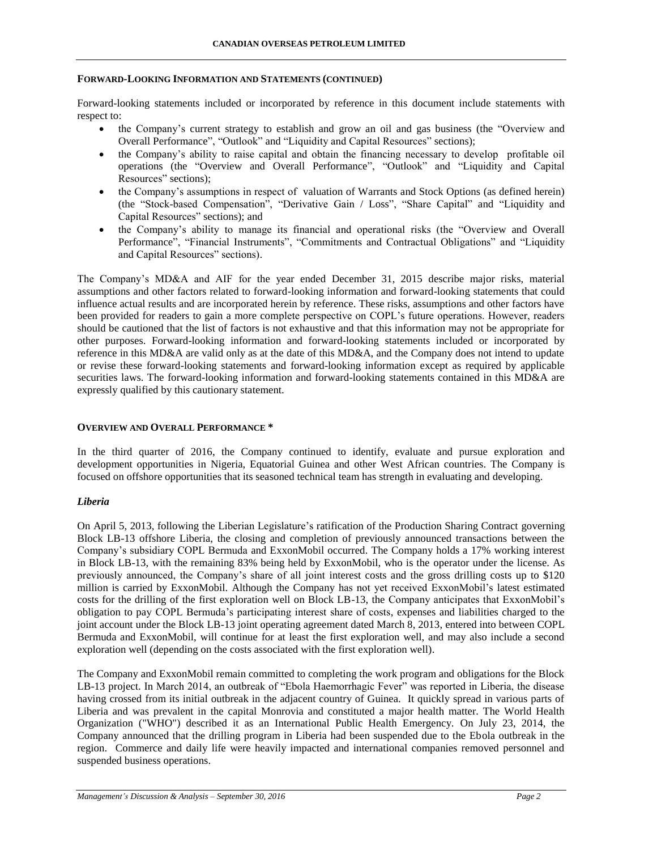#### **FORWARD-LOOKING INFORMATION AND STATEMENTS (CONTINUED)**

Forward-looking statements included or incorporated by reference in this document include statements with respect to:

- the Company's current strategy to establish and grow an oil and gas business (the "Overview and Overall Performance", "Outlook" and "Liquidity and Capital Resources" sections);
- the Company's ability to raise capital and obtain the financing necessary to develop profitable oil operations (the "Overview and Overall Performance", "Outlook" and "Liquidity and Capital Resources" sections);
- the Company's assumptions in respect of valuation of Warrants and Stock Options (as defined herein) (the "Stock-based Compensation", "Derivative Gain / Loss", "Share Capital" and "Liquidity and Capital Resources" sections); and
- the Company's ability to manage its financial and operational risks (the "Overview and Overall Performance", "Financial Instruments", "Commitments and Contractual Obligations" and "Liquidity and Capital Resources" sections).

The Company's MD&A and AIF for the year ended December 31, 2015 describe major risks, material assumptions and other factors related to forward-looking information and forward-looking statements that could influence actual results and are incorporated herein by reference. These risks, assumptions and other factors have been provided for readers to gain a more complete perspective on COPL's future operations. However, readers should be cautioned that the list of factors is not exhaustive and that this information may not be appropriate for other purposes. Forward-looking information and forward-looking statements included or incorporated by reference in this MD&A are valid only as at the date of this MD&A, and the Company does not intend to update or revise these forward-looking statements and forward-looking information except as required by applicable securities laws. The forward-looking information and forward-looking statements contained in this MD&A are expressly qualified by this cautionary statement.

### **OVERVIEW AND OVERALL PERFORMANCE \***

In the third quarter of 2016, the Company continued to identify, evaluate and pursue exploration and development opportunities in Nigeria, Equatorial Guinea and other West African countries. The Company is focused on offshore opportunities that its seasoned technical team has strength in evaluating and developing.

#### *Liberia*

On April 5, 2013, following the Liberian Legislature's ratification of the Production Sharing Contract governing Block LB-13 offshore Liberia, the closing and completion of previously announced transactions between the Company's subsidiary COPL Bermuda and ExxonMobil occurred. The Company holds a 17% working interest in Block LB-13, with the remaining 83% being held by ExxonMobil, who is the operator under the license. As previously announced, the Company's share of all joint interest costs and the gross drilling costs up to \$120 million is carried by ExxonMobil. Although the Company has not yet received ExxonMobil's latest estimated costs for the drilling of the first exploration well on Block LB-13, the Company anticipates that ExxonMobil's obligation to pay COPL Bermuda's participating interest share of costs, expenses and liabilities charged to the joint account under the Block LB-13 joint operating agreement dated March 8, 2013, entered into between COPL Bermuda and ExxonMobil, will continue for at least the first exploration well, and may also include a second exploration well (depending on the costs associated with the first exploration well).

The Company and ExxonMobil remain committed to completing the work program and obligations for the Block LB-13 project. In March 2014, an outbreak of "Ebola Haemorrhagic Fever" was reported in Liberia, the disease having crossed from its initial outbreak in the adjacent country of Guinea. It quickly spread in various parts of Liberia and was prevalent in the capital Monrovia and constituted a major health matter. The World Health Organization ("WHO") described it as an International Public Health Emergency. On July 23, 2014, the Company announced that the drilling program in Liberia had been suspended due to the Ebola outbreak in the region. Commerce and daily life were heavily impacted and international companies removed personnel and suspended business operations.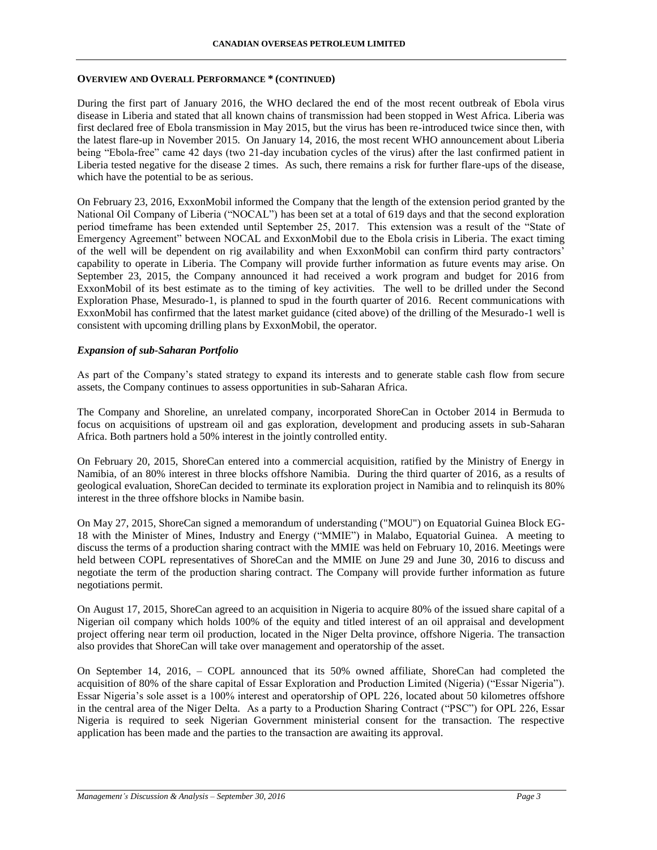#### **CANADIAN OVERSEAS PETROLEUM LIMITED**

#### **OVERVIEW AND OVERALL PERFORMANCE \* (CONTINUED)**

During the first part of January 2016, the WHO declared the end of the most recent outbreak of Ebola virus disease in Liberia and stated that all known chains of transmission had been stopped in West Africa. Liberia was first declared free of Ebola transmission in May 2015, but the virus has been re-introduced twice since then, with the latest flare-up in November 2015. On January 14, 2016, the most recent WHO announcement about Liberia being "Ebola-free" came 42 days (two 21-day incubation cycles of the virus) after the last confirmed patient in Liberia tested negative for the disease 2 times. As such, there remains a risk for further flare-ups of the disease, which have the potential to be as serious.

On February 23, 2016, ExxonMobil informed the Company that the length of the extension period granted by the National Oil Company of Liberia ("NOCAL") has been set at a total of 619 days and that the second exploration period timeframe has been extended until September 25, 2017. This extension was a result of the "State of Emergency Agreement" between NOCAL and ExxonMobil due to the Ebola crisis in Liberia. The exact timing of the well will be dependent on rig availability and when ExxonMobil can confirm third party contractors' capability to operate in Liberia. The Company will provide further information as future events may arise. On September 23, 2015, the Company announced it had received a work program and budget for 2016 from ExxonMobil of its best estimate as to the timing of key activities. The well to be drilled under the Second Exploration Phase, Mesurado-1, is planned to spud in the fourth quarter of 2016. Recent communications with ExxonMobil has confirmed that the latest market guidance (cited above) of the drilling of the Mesurado-1 well is consistent with upcoming drilling plans by ExxonMobil, the operator.

#### *Expansion of sub-Saharan Portfolio*

As part of the Company's stated strategy to expand its interests and to generate stable cash flow from secure assets, the Company continues to assess opportunities in sub-Saharan Africa.

The Company and Shoreline, an unrelated company, incorporated ShoreCan in October 2014 in Bermuda to focus on acquisitions of upstream oil and gas exploration, development and producing assets in sub-Saharan Africa. Both partners hold a 50% interest in the jointly controlled entity.

On February 20, 2015, ShoreCan entered into a commercial acquisition, ratified by the Ministry of Energy in Namibia, of an 80% interest in three blocks offshore Namibia. During the third quarter of 2016, as a results of geological evaluation, ShoreCan decided to terminate its exploration project in Namibia and to relinquish its 80% interest in the three offshore blocks in Namibe basin.

On May 27, 2015, ShoreCan signed a memorandum of understanding ("MOU") on Equatorial Guinea Block EG-18 with the Minister of Mines, Industry and Energy ("MMIE") in Malabo, Equatorial Guinea. A meeting to discuss the terms of a production sharing contract with the MMIE was held on February 10, 2016. Meetings were held between COPL representatives of ShoreCan and the MMIE on June 29 and June 30, 2016 to discuss and negotiate the term of the production sharing contract. The Company will provide further information as future negotiations permit.

On August 17, 2015, ShoreCan agreed to an acquisition in Nigeria to acquire 80% of the issued share capital of a Nigerian oil company which holds 100% of the equity and titled interest of an oil appraisal and development project offering near term oil production, located in the Niger Delta province, offshore Nigeria. The transaction also provides that ShoreCan will take over management and operatorship of the asset.

On September 14, 2016, – COPL announced that its 50% owned affiliate, ShoreCan had completed the acquisition of 80% of the share capital of Essar Exploration and Production Limited (Nigeria) ("Essar Nigeria"). Essar Nigeria's sole asset is a 100% interest and operatorship of OPL 226, located about 50 kilometres offshore in the central area of the Niger Delta. As a party to a Production Sharing Contract ("PSC") for OPL 226, Essar Nigeria is required to seek Nigerian Government ministerial consent for the transaction. The respective application has been made and the parties to the transaction are awaiting its approval.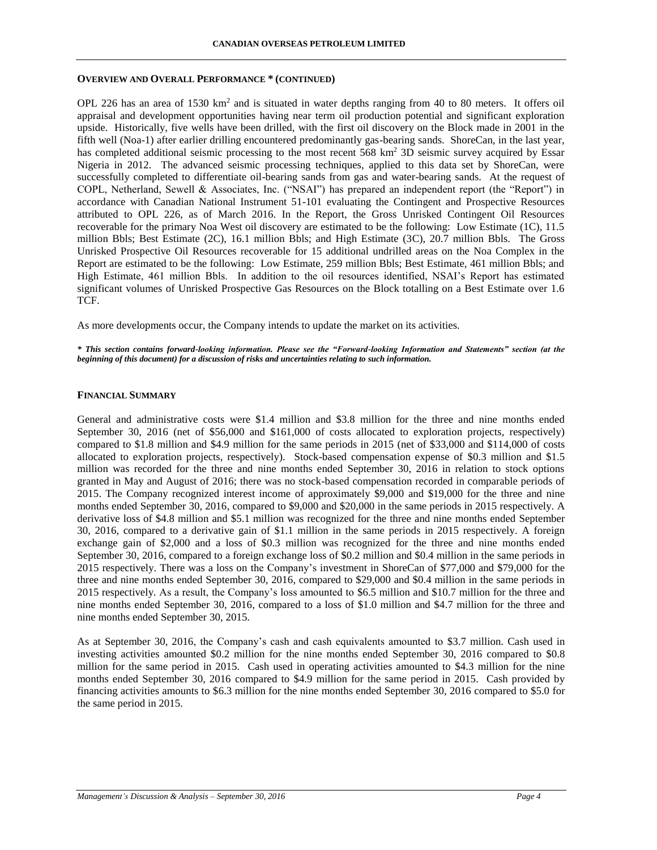#### **OVERVIEW AND OVERALL PERFORMANCE \* (CONTINUED)**

OPL 226 has an area of 1530 km<sup>2</sup> and is situated in water depths ranging from 40 to 80 meters. It offers oil appraisal and development opportunities having near term oil production potential and significant exploration upside. Historically, five wells have been drilled, with the first oil discovery on the Block made in 2001 in the fifth well (Noa-1) after earlier drilling encountered predominantly gas-bearing sands. ShoreCan, in the last year, has completed additional seismic processing to the most recent 568 km<sup>2</sup> 3D seismic survey acquired by Essar Nigeria in 2012. The advanced seismic processing techniques, applied to this data set by ShoreCan, were successfully completed to differentiate oil-bearing sands from gas and water-bearing sands. At the request of COPL, Netherland, Sewell & Associates, Inc. ("NSAI") has prepared an independent report (the "Report") in accordance with Canadian National Instrument 51-101 evaluating the Contingent and Prospective Resources attributed to OPL 226, as of March 2016. In the Report, the Gross Unrisked Contingent Oil Resources recoverable for the primary Noa West oil discovery are estimated to be the following: Low Estimate (1C), 11.5 million Bbls; Best Estimate (2C), 16.1 million Bbls; and High Estimate (3C), 20.7 million Bbls. The Gross Unrisked Prospective Oil Resources recoverable for 15 additional undrilled areas on the Noa Complex in the Report are estimated to be the following: Low Estimate, 259 million Bbls; Best Estimate, 461 million Bbls; and High Estimate, 461 million Bbls. In addition to the oil resources identified, NSAI's Report has estimated significant volumes of Unrisked Prospective Gas Resources on the Block totalling on a Best Estimate over 1.6 TCF.

As more developments occur, the Company intends to update the market on its activities.

*\* This section contains forward-looking information. Please see the "Forward-looking Information and Statements" section (at the beginning of this document) for a discussion of risks and uncertainties relating to such information.*

## **FINANCIAL SUMMARY**

General and administrative costs were \$1.4 million and \$3.8 million for the three and nine months ended September 30, 2016 (net of \$56,000 and \$161,000 of costs allocated to exploration projects, respectively) compared to \$1.8 million and \$4.9 million for the same periods in 2015 (net of \$33,000 and \$114,000 of costs allocated to exploration projects, respectively). Stock-based compensation expense of \$0.3 million and \$1.5 million was recorded for the three and nine months ended September 30, 2016 in relation to stock options granted in May and August of 2016; there was no stock-based compensation recorded in comparable periods of 2015. The Company recognized interest income of approximately \$9,000 and \$19,000 for the three and nine months ended September 30, 2016, compared to \$9,000 and \$20,000 in the same periods in 2015 respectively. A derivative loss of \$4.8 million and \$5.1 million was recognized for the three and nine months ended September 30, 2016, compared to a derivative gain of \$1.1 million in the same periods in 2015 respectively. A foreign exchange gain of \$2,000 and a loss of \$0.3 million was recognized for the three and nine months ended September 30, 2016, compared to a foreign exchange loss of \$0.2 million and \$0.4 million in the same periods in 2015 respectively. There was a loss on the Company's investment in ShoreCan of \$77,000 and \$79,000 for the three and nine months ended September 30, 2016, compared to \$29,000 and \$0.4 million in the same periods in 2015 respectively. As a result, the Company's loss amounted to \$6.5 million and \$10.7 million for the three and nine months ended September 30, 2016, compared to a loss of \$1.0 million and \$4.7 million for the three and nine months ended September 30, 2015.

As at September 30, 2016, the Company's cash and cash equivalents amounted to \$3.7 million. Cash used in investing activities amounted \$0.2 million for the nine months ended September 30, 2016 compared to \$0.8 million for the same period in 2015. Cash used in operating activities amounted to \$4.3 million for the nine months ended September 30, 2016 compared to \$4.9 million for the same period in 2015. Cash provided by financing activities amounts to \$6.3 million for the nine months ended September 30, 2016 compared to \$5.0 for the same period in 2015.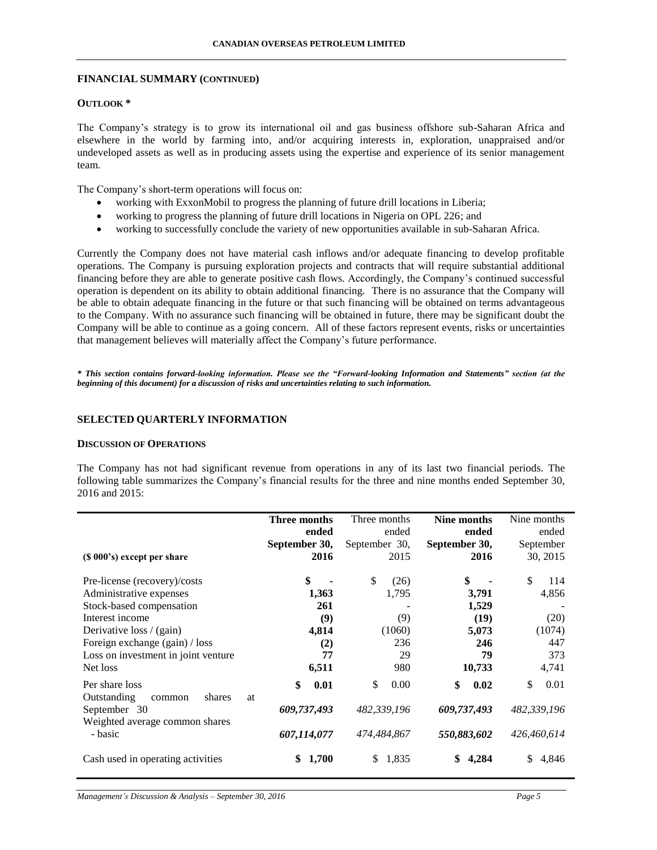#### **FINANCIAL SUMMARY (CONTINUED)**

### **OUTLOOK \***

The Company's strategy is to grow its international oil and gas business offshore sub-Saharan Africa and elsewhere in the world by farming into, and/or acquiring interests in, exploration, unappraised and/or undeveloped assets as well as in producing assets using the expertise and experience of its senior management team.

The Company's short-term operations will focus on:

- working with ExxonMobil to progress the planning of future drill locations in Liberia;
- working to progress the planning of future drill locations in Nigeria on OPL 226; and
- working to successfully conclude the variety of new opportunities available in sub-Saharan Africa.

Currently the Company does not have material cash inflows and/or adequate financing to develop profitable operations. The Company is pursuing exploration projects and contracts that will require substantial additional financing before they are able to generate positive cash flows. Accordingly, the Company's continued successful operation is dependent on its ability to obtain additional financing. There is no assurance that the Company will be able to obtain adequate financing in the future or that such financing will be obtained on terms advantageous to the Company. With no assurance such financing will be obtained in future, there may be significant doubt the Company will be able to continue as a going concern. All of these factors represent events, risks or uncertainties that management believes will materially affect the Company's future performance.

*\* This section contains forward-looking information. Please see the "Forward-looking Information and Statements" section (at the beginning of this document) for a discussion of risks and uncertainties relating to such information.*

#### **SELECTED QUARTERLY INFORMATION**

#### **DISCUSSION OF OPERATIONS**

The Company has not had significant revenue from operations in any of its last two financial periods. The following table summarizes the Company's financial results for the three and nine months ended September 30, 2016 and 2015:

| (\$\\ 000\, 000\$) except per share                                                                                                                       | Three months                                            | Three months                                             | Nine months                                             | Nine months                                       |
|-----------------------------------------------------------------------------------------------------------------------------------------------------------|---------------------------------------------------------|----------------------------------------------------------|---------------------------------------------------------|---------------------------------------------------|
|                                                                                                                                                           | ended                                                   | ended                                                    | ended                                                   | ended                                             |
|                                                                                                                                                           | September 30,                                           | September 30,                                            | September 30,                                           | September                                         |
|                                                                                                                                                           | 2016                                                    | 2015                                                     | 2016                                                    | 30, 2015                                          |
| Pre-license (recovery)/costs                                                                                                                              | \$                                                      | \$                                                       | \$                                                      | \$                                                |
| Administrative expenses                                                                                                                                   | 1,363                                                   | (26)                                                     | 3,791                                                   | 114                                               |
| Stock-based compensation                                                                                                                                  | 261                                                     | 1,795                                                    | 1,529                                                   | 4,856                                             |
| Interest income                                                                                                                                           | (9)                                                     | (9)                                                      | (19)                                                    | (20)                                              |
| Derivative loss / (gain)                                                                                                                                  | 4,814                                                   | (1060)                                                   | 5,073                                                   | (1074)                                            |
| Foreign exchange (gain) / loss                                                                                                                            | (2)                                                     | 236                                                      | 246                                                     | 447                                               |
| Loss on investment in joint venture                                                                                                                       | 77                                                      | 29                                                       | 79                                                      | 373                                               |
| Net loss                                                                                                                                                  | 6,511                                                   | 980                                                      | 10,733                                                  | 4,741                                             |
| Per share loss<br>Outstanding<br>shares<br>at<br>common<br>September 30<br>Weighted average common shares<br>- basic<br>Cash used in operating activities | \$<br>0.01<br>609,737,493<br>607,114,077<br>1,700<br>\$ | \$<br>0.00<br>482,339,196<br>474,484,867<br>1,835<br>\$. | \$<br>0.02<br>609,737,493<br>550,883,602<br>\$<br>4.284 | \$<br>0.01<br>482,339,196<br>426,460,614<br>4,846 |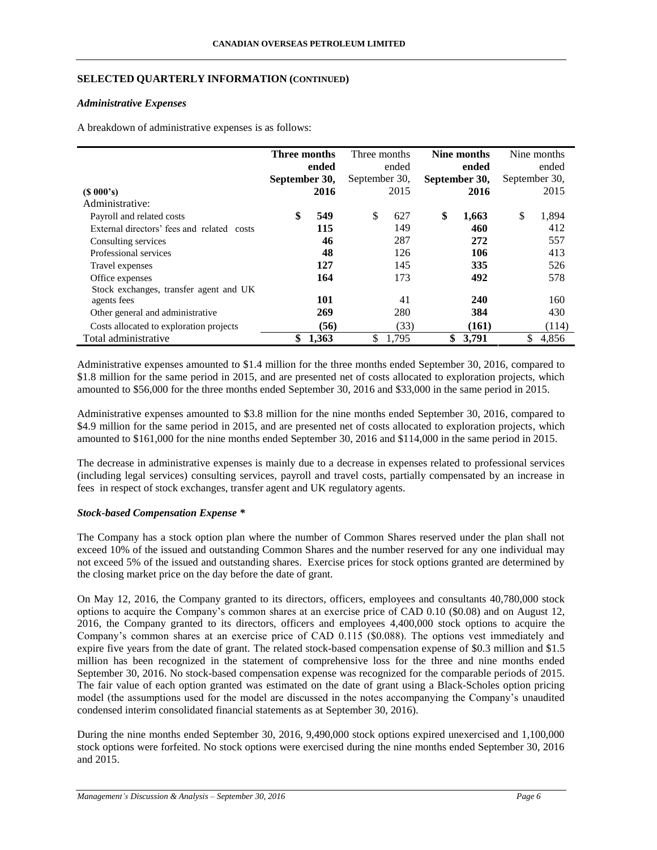## **SELECTED QUARTERLY INFORMATION (CONTINUED)**

### *Administrative Expenses*

A breakdown of administrative expenses is as follows:

|                                            | Three months  |       | Three months  |       | Nine months   |            | Nine months   |       |
|--------------------------------------------|---------------|-------|---------------|-------|---------------|------------|---------------|-------|
|                                            | ended         |       | ended         |       | ended         |            | ended         |       |
|                                            | September 30, |       | September 30, |       | September 30, |            | September 30, |       |
| $(S\ 000's)$                               |               | 2016  |               | 2015  |               | 2016       |               | 2015  |
| Administrative:                            |               |       |               |       |               |            |               |       |
| Payroll and related costs                  | \$            | 549   | \$            | 627   | \$            | 1,663      | \$            | 1,894 |
| External directors' fees and related costs |               | 115   |               | 149   |               | 460        |               | 412   |
| Consulting services                        |               | 46    |               | 287   |               | 272        |               | 557   |
| Professional services                      |               | 48    |               | 126   |               | 106        |               | 413   |
| Travel expenses                            |               | 127   |               | 145   |               | 335        |               | 526   |
| Office expenses                            |               | 164   |               | 173   |               | 492        |               | 578   |
| Stock exchanges, transfer agent and UK     |               |       |               |       |               |            |               |       |
| agents fees                                |               | 101   |               | 41    |               | <b>240</b> |               | 160   |
| Other general and administrative           |               | 269   |               | 280   |               | 384        |               | 430   |
| Costs allocated to exploration projects    |               | (56)  |               | (33)  |               | (161)      |               | (114) |
| Total administrative                       | \$            | 1,363 | \$            | 1.795 | \$            | 3,791      | \$            | 4,856 |

Administrative expenses amounted to \$1.4 million for the three months ended September 30, 2016, compared to \$1.8 million for the same period in 2015, and are presented net of costs allocated to exploration projects, which amounted to \$56,000 for the three months ended September 30, 2016 and \$33,000 in the same period in 2015.

Administrative expenses amounted to \$3.8 million for the nine months ended September 30, 2016, compared to \$4.9 million for the same period in 2015, and are presented net of costs allocated to exploration projects, which amounted to \$161,000 for the nine months ended September 30, 2016 and \$114,000 in the same period in 2015.

The decrease in administrative expenses is mainly due to a decrease in expenses related to professional services (including legal services) consulting services, payroll and travel costs, partially compensated by an increase in fees in respect of stock exchanges, transfer agent and UK regulatory agents.

## *Stock-based Compensation Expense \**

The Company has a stock option plan where the number of Common Shares reserved under the plan shall not exceed 10% of the issued and outstanding Common Shares and the number reserved for any one individual may not exceed 5% of the issued and outstanding shares. Exercise prices for stock options granted are determined by the closing market price on the day before the date of grant.

On May 12, 2016, the Company granted to its directors, officers, employees and consultants 40,780,000 stock options to acquire the Company's common shares at an exercise price of CAD 0.10 (\$0.08) and on August 12, 2016, the Company granted to its directors, officers and employees 4,400,000 stock options to acquire the Company's common shares at an exercise price of CAD 0.115 (\$0.088). The options vest immediately and expire five years from the date of grant. The related stock-based compensation expense of \$0.3 million and \$1.5 million has been recognized in the statement of comprehensive loss for the three and nine months ended September 30, 2016. No stock-based compensation expense was recognized for the comparable periods of 2015. The fair value of each option granted was estimated on the date of grant using a Black-Scholes option pricing model (the assumptions used for the model are discussed in the notes accompanying the Company's unaudited condensed interim consolidated financial statements as at September 30, 2016).

During the nine months ended September 30, 2016, 9,490,000 stock options expired unexercised and 1,100,000 stock options were forfeited. No stock options were exercised during the nine months ended September 30, 2016 and 2015.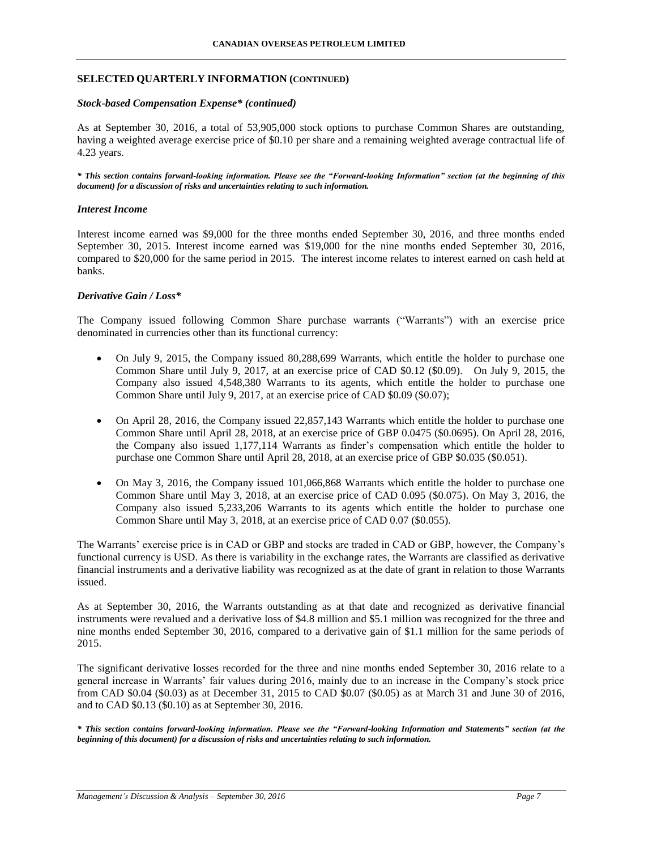### **SELECTED QUARTERLY INFORMATION (CONTINUED)**

#### *Stock-based Compensation Expense\* (continued)*

As at September 30, 2016, a total of 53,905,000 stock options to purchase Common Shares are outstanding, having a weighted average exercise price of \$0.10 per share and a remaining weighted average contractual life of 4.23 years.

*\* This section contains forward-looking information. Please see the "Forward-looking Information" section (at the beginning of this document) for a discussion of risks and uncertainties relating to such information.*

#### *Interest Income*

Interest income earned was \$9,000 for the three months ended September 30, 2016, and three months ended September 30, 2015. Interest income earned was \$19,000 for the nine months ended September 30, 2016, compared to \$20,000 for the same period in 2015. The interest income relates to interest earned on cash held at banks.

### *Derivative Gain / Loss\**

The Company issued following Common Share purchase warrants ("Warrants") with an exercise price denominated in currencies other than its functional currency:

- On July 9, 2015, the Company issued 80,288,699 Warrants, which entitle the holder to purchase one Common Share until July 9, 2017, at an exercise price of CAD \$0.12 (\$0.09). On July 9, 2015, the Company also issued 4,548,380 Warrants to its agents, which entitle the holder to purchase one Common Share until July 9, 2017, at an exercise price of CAD \$0.09 (\$0.07);
- On April 28, 2016, the Company issued 22,857,143 Warrants which entitle the holder to purchase one Common Share until April 28, 2018, at an exercise price of GBP 0.0475 (\$0.0695). On April 28, 2016, the Company also issued 1,177,114 Warrants as finder's compensation which entitle the holder to purchase one Common Share until April 28, 2018, at an exercise price of GBP \$0.035 (\$0.051).
- On May 3, 2016, the Company issued 101,066,868 Warrants which entitle the holder to purchase one Common Share until May 3, 2018, at an exercise price of CAD 0.095 (\$0.075). On May 3, 2016, the Company also issued 5,233,206 Warrants to its agents which entitle the holder to purchase one Common Share until May 3, 2018, at an exercise price of CAD 0.07 (\$0.055).

The Warrants' exercise price is in CAD or GBP and stocks are traded in CAD or GBP, however, the Company's functional currency is USD. As there is variability in the exchange rates, the Warrants are classified as derivative financial instruments and a derivative liability was recognized as at the date of grant in relation to those Warrants issued.

As at September 30, 2016, the Warrants outstanding as at that date and recognized as derivative financial instruments were revalued and a derivative loss of \$4.8 million and \$5.1 million was recognized for the three and nine months ended September 30, 2016, compared to a derivative gain of \$1.1 million for the same periods of 2015.

The significant derivative losses recorded for the three and nine months ended September 30, 2016 relate to a general increase in Warrants' fair values during 2016, mainly due to an increase in the Company's stock price from CAD \$0.04 (\$0.03) as at December 31, 2015 to CAD \$0.07 (\$0.05) as at March 31 and June 30 of 2016, and to CAD \$0.13 (\$0.10) as at September 30, 2016.

*\* This section contains forward-looking information. Please see the "Forward-looking Information and Statements" section (at the beginning of this document) for a discussion of risks and uncertainties relating to such information.*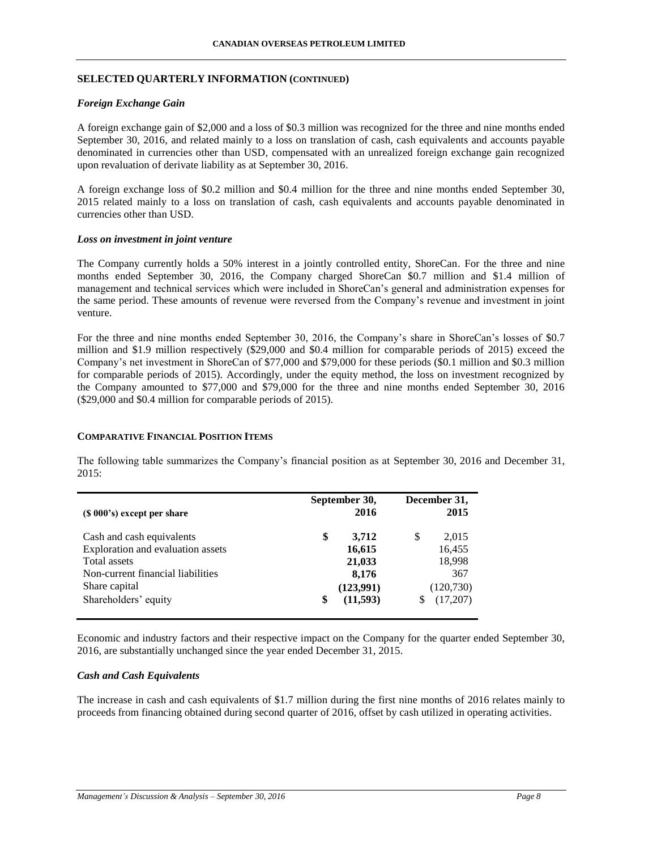## **SELECTED QUARTERLY INFORMATION (CONTINUED)**

### *Foreign Exchange Gain*

A foreign exchange gain of \$2,000 and a loss of \$0.3 million was recognized for the three and nine months ended September 30, 2016, and related mainly to a loss on translation of cash, cash equivalents and accounts payable denominated in currencies other than USD, compensated with an unrealized foreign exchange gain recognized upon revaluation of derivate liability as at September 30, 2016.

A foreign exchange loss of \$0.2 million and \$0.4 million for the three and nine months ended September 30, 2015 related mainly to a loss on translation of cash, cash equivalents and accounts payable denominated in currencies other than USD.

#### *Loss on investment in joint venture*

The Company currently holds a 50% interest in a jointly controlled entity, ShoreCan. For the three and nine months ended September 30, 2016, the Company charged ShoreCan \$0.7 million and \$1.4 million of management and technical services which were included in ShoreCan's general and administration expenses for the same period. These amounts of revenue were reversed from the Company's revenue and investment in joint venture.

For the three and nine months ended September 30, 2016, the Company's share in ShoreCan's losses of \$0.7 million and \$1.9 million respectively (\$29,000 and \$0.4 million for comparable periods of 2015) exceed the Company's net investment in ShoreCan of \$77,000 and \$79,000 for these periods (\$0.1 million and \$0.3 million for comparable periods of 2015). Accordingly, under the equity method, the loss on investment recognized by the Company amounted to \$77,000 and \$79,000 for the three and nine months ended September 30, 2016 (\$29,000 and \$0.4 million for comparable periods of 2015).

#### **COMPARATIVE FINANCIAL POSITION ITEMS**

The following table summarizes the Company's financial position as at September 30, 2016 and December 31, 2015:

| $(S 000's)$ except per share                                                                                                                                 | September 30,<br>2016                                                   | December 31,<br>2015                                             |
|--------------------------------------------------------------------------------------------------------------------------------------------------------------|-------------------------------------------------------------------------|------------------------------------------------------------------|
| Cash and cash equivalents<br>Exploration and evaluation assets<br>Total assets<br>Non-current financial liabilities<br>Share capital<br>Shareholders' equity | \$<br>3,712<br>16,615<br>21,033<br>8,176<br>(123,991)<br>(11,593)<br>\$ | \$<br>2,015<br>16,455<br>18,998<br>367<br>(120, 730)<br>(17,207) |

Economic and industry factors and their respective impact on the Company for the quarter ended September 30, 2016, are substantially unchanged since the year ended December 31, 2015.

#### *Cash and Cash Equivalents*

The increase in cash and cash equivalents of \$1.7 million during the first nine months of 2016 relates mainly to proceeds from financing obtained during second quarter of 2016, offset by cash utilized in operating activities.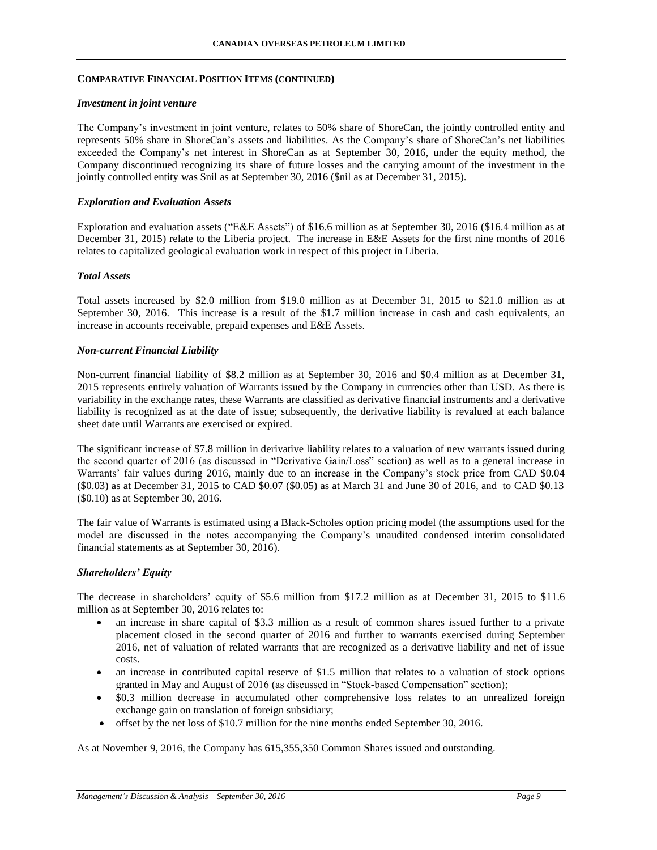### **COMPARATIVE FINANCIAL POSITION ITEMS (CONTINUED)**

#### *Investment in joint venture*

The Company's investment in joint venture, relates to 50% share of ShoreCan, the jointly controlled entity and represents 50% share in ShoreCan's assets and liabilities. As the Company's share of ShoreCan's net liabilities exceeded the Company's net interest in ShoreCan as at September 30, 2016, under the equity method, the Company discontinued recognizing its share of future losses and the carrying amount of the investment in the jointly controlled entity was \$nil as at September 30, 2016 (\$nil as at December 31, 2015).

#### *Exploration and Evaluation Assets*

Exploration and evaluation assets ("E&E Assets") of \$16.6 million as at September 30, 2016 (\$16.4 million as at December 31, 2015) relate to the Liberia project. The increase in E&E Assets for the first nine months of 2016 relates to capitalized geological evaluation work in respect of this project in Liberia.

### *Total Assets*

Total assets increased by \$2.0 million from \$19.0 million as at December 31, 2015 to \$21.0 million as at September 30, 2016. This increase is a result of the \$1.7 million increase in cash and cash equivalents, an increase in accounts receivable, prepaid expenses and E&E Assets.

#### *Non-current Financial Liability*

Non-current financial liability of \$8.2 million as at September 30, 2016 and \$0.4 million as at December 31, 2015 represents entirely valuation of Warrants issued by the Company in currencies other than USD. As there is variability in the exchange rates, these Warrants are classified as derivative financial instruments and a derivative liability is recognized as at the date of issue; subsequently, the derivative liability is revalued at each balance sheet date until Warrants are exercised or expired.

The significant increase of \$7.8 million in derivative liability relates to a valuation of new warrants issued during the second quarter of 2016 (as discussed in "Derivative Gain/Loss" section) as well as to a general increase in Warrants' fair values during 2016, mainly due to an increase in the Company's stock price from CAD \$0.04 (\$0.03) as at December 31, 2015 to CAD \$0.07 (\$0.05) as at March 31 and June 30 of 2016, and to CAD \$0.13 (\$0.10) as at September 30, 2016.

The fair value of Warrants is estimated using a Black-Scholes option pricing model (the assumptions used for the model are discussed in the notes accompanying the Company's unaudited condensed interim consolidated financial statements as at September 30, 2016).

### *Shareholders' Equity*

The decrease in shareholders' equity of \$5.6 million from \$17.2 million as at December 31, 2015 to \$11.6 million as at September 30, 2016 relates to:

- an increase in share capital of \$3.3 million as a result of common shares issued further to a private placement closed in the second quarter of 2016 and further to warrants exercised during September 2016, net of valuation of related warrants that are recognized as a derivative liability and net of issue costs.
- an increase in contributed capital reserve of \$1.5 million that relates to a valuation of stock options granted in May and August of 2016 (as discussed in "Stock-based Compensation" section);
- \$0.3 million decrease in accumulated other comprehensive loss relates to an unrealized foreign exchange gain on translation of foreign subsidiary;
- offset by the net loss of \$10.7 million for the nine months ended September 30, 2016.

As at November 9, 2016, the Company has 615,355,350 Common Shares issued and outstanding.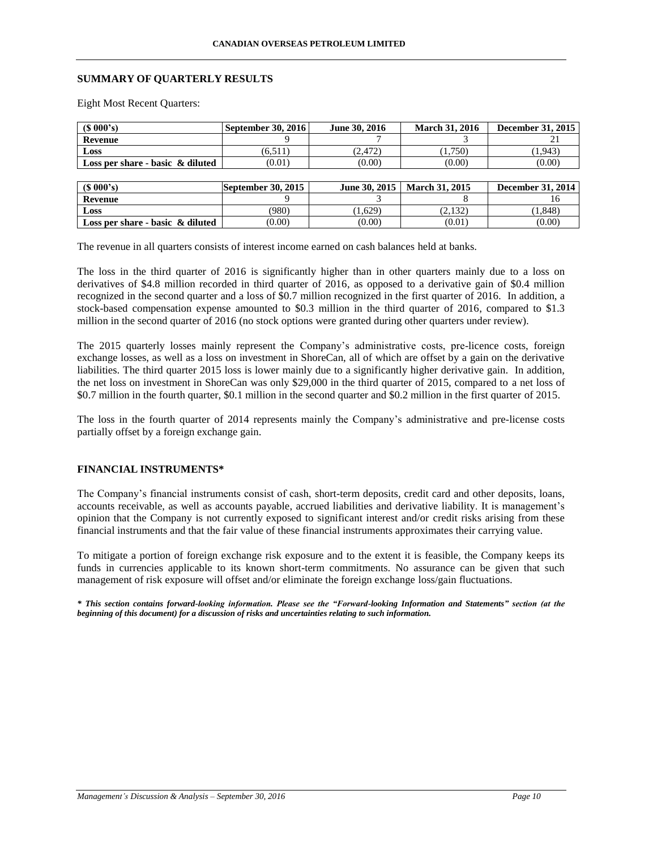#### **SUMMARY OF QUARTERLY RESULTS**

Eight Most Recent Quarters:

| (S 000's)                           | <b>September 30, 2016</b> | June 30, 2016 | <b>March 31, 2016</b> | <b>December 31, 2015</b> |
|-------------------------------------|---------------------------|---------------|-----------------------|--------------------------|
| Revenue                             |                           |               |                       |                          |
| Loss                                | (6,511)                   | (2, 472)      | (1,750)               | (1, 943)                 |
| Loss per share - basic $\&$ diluted | (0.01)                    | (0.00)        | (0.00)                | (0.00)                   |
|                                     |                           |               |                       |                          |
| $(S\ 000's)$                        | September $30, 2015$      | June 30, 2015 | <b>March 31, 2015</b> | <b>December 31, 2014</b> |
| Revenue                             |                           |               |                       |                          |
| Loss                                | (980)                     | (1,629)       | (2,132)               | (1, 848)                 |
| Loss per share - basic $\&$ diluted | (0.00)                    | (0.00)        | (0.01)                | (0.00)                   |

The revenue in all quarters consists of interest income earned on cash balances held at banks.

The loss in the third quarter of 2016 is significantly higher than in other quarters mainly due to a loss on derivatives of \$4.8 million recorded in third quarter of 2016, as opposed to a derivative gain of \$0.4 million recognized in the second quarter and a loss of \$0.7 million recognized in the first quarter of 2016. In addition, a stock-based compensation expense amounted to \$0.3 million in the third quarter of 2016, compared to \$1.3 million in the second quarter of 2016 (no stock options were granted during other quarters under review).

The 2015 quarterly losses mainly represent the Company's administrative costs, pre-licence costs, foreign exchange losses, as well as a loss on investment in ShoreCan, all of which are offset by a gain on the derivative liabilities. The third quarter 2015 loss is lower mainly due to a significantly higher derivative gain. In addition, the net loss on investment in ShoreCan was only \$29,000 in the third quarter of 2015, compared to a net loss of \$0.7 million in the fourth quarter, \$0.1 million in the second quarter and \$0.2 million in the first quarter of 2015.

The loss in the fourth quarter of 2014 represents mainly the Company's administrative and pre-license costs partially offset by a foreign exchange gain.

### **FINANCIAL INSTRUMENTS\***

The Company's financial instruments consist of cash, short-term deposits, credit card and other deposits, loans, accounts receivable, as well as accounts payable, accrued liabilities and derivative liability. It is management's opinion that the Company is not currently exposed to significant interest and/or credit risks arising from these financial instruments and that the fair value of these financial instruments approximates their carrying value.

To mitigate a portion of foreign exchange risk exposure and to the extent it is feasible, the Company keeps its funds in currencies applicable to its known short-term commitments. No assurance can be given that such management of risk exposure will offset and/or eliminate the foreign exchange loss/gain fluctuations.

*\* This section contains forward-looking information. Please see the "Forward-looking Information and Statements" section (at the beginning of this document) for a discussion of risks and uncertainties relating to such information.*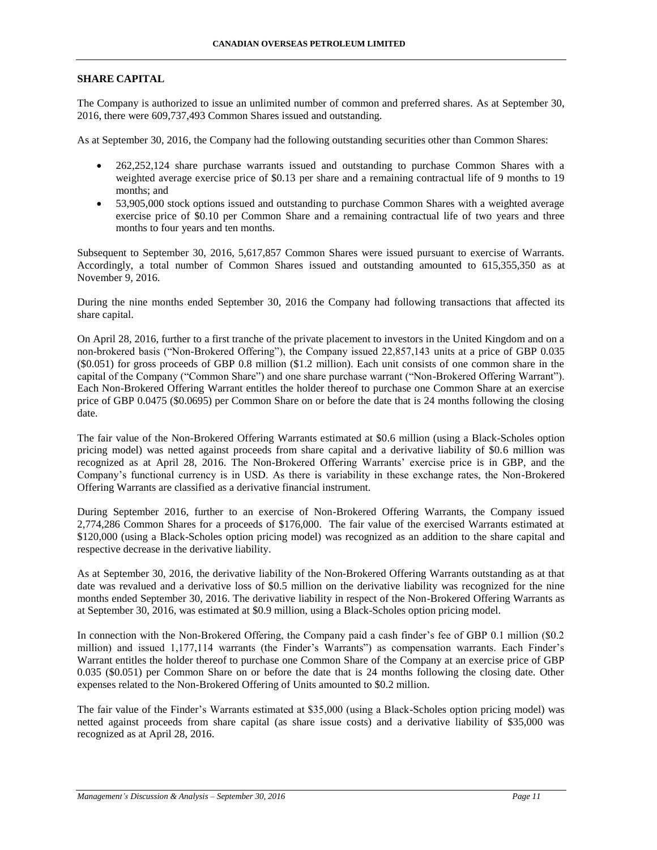### **SHARE CAPITAL**

The Company is authorized to issue an unlimited number of common and preferred shares. As at September 30, 2016, there were 609,737,493 Common Shares issued and outstanding.

As at September 30, 2016, the Company had the following outstanding securities other than Common Shares:

- 262,252,124 share purchase warrants issued and outstanding to purchase Common Shares with a weighted average exercise price of \$0.13 per share and a remaining contractual life of 9 months to 19 months; and
- 53,905,000 stock options issued and outstanding to purchase Common Shares with a weighted average exercise price of \$0.10 per Common Share and a remaining contractual life of two years and three months to four years and ten months.

Subsequent to September 30, 2016, 5,617,857 Common Shares were issued pursuant to exercise of Warrants. Accordingly, a total number of Common Shares issued and outstanding amounted to 615,355,350 as at November 9, 2016.

During the nine months ended September 30, 2016 the Company had following transactions that affected its share capital.

On April 28, 2016, further to a first tranche of the private placement to investors in the United Kingdom and on a non-brokered basis ("Non-Brokered Offering"), the Company issued 22,857,143 units at a price of GBP 0.035 (\$0.051) for gross proceeds of GBP 0.8 million (\$1.2 million). Each unit consists of one common share in the capital of the Company ("Common Share") and one share purchase warrant ("Non-Brokered Offering Warrant"). Each Non-Brokered Offering Warrant entitles the holder thereof to purchase one Common Share at an exercise price of GBP 0.0475 (\$0.0695) per Common Share on or before the date that is 24 months following the closing date.

The fair value of the Non-Brokered Offering Warrants estimated at \$0.6 million (using a Black-Scholes option pricing model) was netted against proceeds from share capital and a derivative liability of \$0.6 million was recognized as at April 28, 2016. The Non-Brokered Offering Warrants' exercise price is in GBP, and the Company's functional currency is in USD. As there is variability in these exchange rates, the Non-Brokered Offering Warrants are classified as a derivative financial instrument.

During September 2016, further to an exercise of Non-Brokered Offering Warrants, the Company issued 2,774,286 Common Shares for a proceeds of \$176,000. The fair value of the exercised Warrants estimated at \$120,000 (using a Black-Scholes option pricing model) was recognized as an addition to the share capital and respective decrease in the derivative liability.

As at September 30, 2016, the derivative liability of the Non-Brokered Offering Warrants outstanding as at that date was revalued and a derivative loss of \$0.5 million on the derivative liability was recognized for the nine months ended September 30, 2016. The derivative liability in respect of the Non-Brokered Offering Warrants as at September 30, 2016, was estimated at \$0.9 million, using a Black-Scholes option pricing model.

In connection with the Non-Brokered Offering, the Company paid a cash finder's fee of GBP 0.1 million (\$0.2 million) and issued 1,177,114 warrants (the Finder's Warrants") as compensation warrants. Each Finder's Warrant entitles the holder thereof to purchase one Common Share of the Company at an exercise price of GBP 0.035 (\$0.051) per Common Share on or before the date that is 24 months following the closing date. Other expenses related to the Non-Brokered Offering of Units amounted to \$0.2 million.

The fair value of the Finder's Warrants estimated at \$35,000 (using a Black-Scholes option pricing model) was netted against proceeds from share capital (as share issue costs) and a derivative liability of \$35,000 was recognized as at April 28, 2016.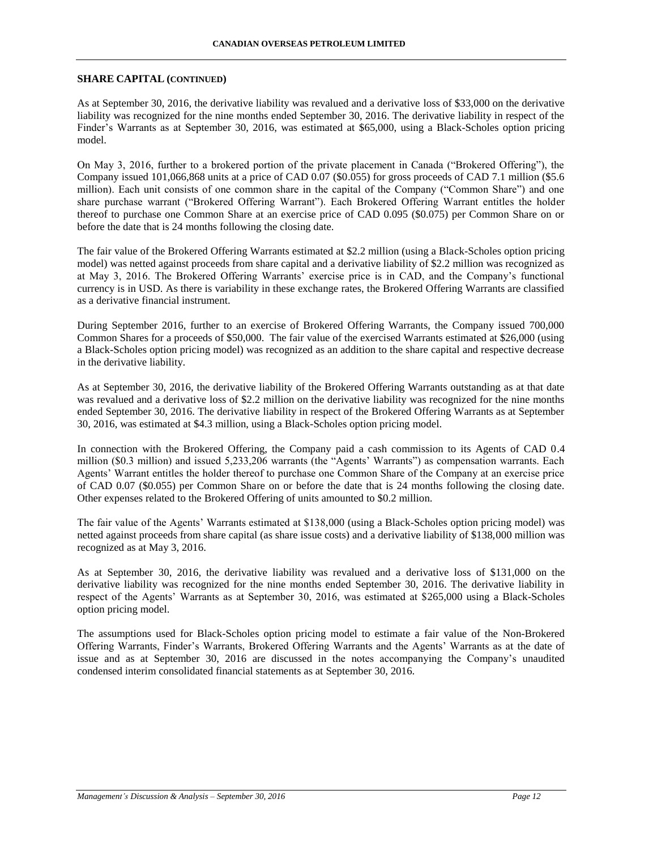### **SHARE CAPITAL (CONTINUED)**

As at September 30, 2016, the derivative liability was revalued and a derivative loss of \$33,000 on the derivative liability was recognized for the nine months ended September 30, 2016. The derivative liability in respect of the Finder's Warrants as at September 30, 2016, was estimated at \$65,000, using a Black-Scholes option pricing model.

On May 3, 2016, further to a brokered portion of the private placement in Canada ("Brokered Offering"), the Company issued 101,066,868 units at a price of CAD 0.07 (\$0.055) for gross proceeds of CAD 7.1 million (\$5.6 million). Each unit consists of one common share in the capital of the Company ("Common Share") and one share purchase warrant ("Brokered Offering Warrant"). Each Brokered Offering Warrant entitles the holder thereof to purchase one Common Share at an exercise price of CAD 0.095 (\$0.075) per Common Share on or before the date that is 24 months following the closing date.

The fair value of the Brokered Offering Warrants estimated at \$2.2 million (using a Black-Scholes option pricing model) was netted against proceeds from share capital and a derivative liability of \$2.2 million was recognized as at May 3, 2016. The Brokered Offering Warrants' exercise price is in CAD, and the Company's functional currency is in USD. As there is variability in these exchange rates, the Brokered Offering Warrants are classified as a derivative financial instrument.

During September 2016, further to an exercise of Brokered Offering Warrants, the Company issued 700,000 Common Shares for a proceeds of \$50,000. The fair value of the exercised Warrants estimated at \$26,000 (using a Black-Scholes option pricing model) was recognized as an addition to the share capital and respective decrease in the derivative liability.

As at September 30, 2016, the derivative liability of the Brokered Offering Warrants outstanding as at that date was revalued and a derivative loss of \$2.2 million on the derivative liability was recognized for the nine months ended September 30, 2016. The derivative liability in respect of the Brokered Offering Warrants as at September 30, 2016, was estimated at \$4.3 million, using a Black-Scholes option pricing model.

In connection with the Brokered Offering, the Company paid a cash commission to its Agents of CAD 0.4 million (\$0.3 million) and issued 5,233,206 warrants (the "Agents' Warrants") as compensation warrants. Each Agents' Warrant entitles the holder thereof to purchase one Common Share of the Company at an exercise price of CAD 0.07 (\$0.055) per Common Share on or before the date that is 24 months following the closing date. Other expenses related to the Brokered Offering of units amounted to \$0.2 million.

The fair value of the Agents' Warrants estimated at \$138,000 (using a Black-Scholes option pricing model) was netted against proceeds from share capital (as share issue costs) and a derivative liability of \$138,000 million was recognized as at May 3, 2016.

As at September 30, 2016, the derivative liability was revalued and a derivative loss of \$131,000 on the derivative liability was recognized for the nine months ended September 30, 2016. The derivative liability in respect of the Agents' Warrants as at September 30, 2016, was estimated at \$265,000 using a Black-Scholes option pricing model.

The assumptions used for Black-Scholes option pricing model to estimate a fair value of the Non-Brokered Offering Warrants, Finder's Warrants, Brokered Offering Warrants and the Agents' Warrants as at the date of issue and as at September 30, 2016 are discussed in the notes accompanying the Company's unaudited condensed interim consolidated financial statements as at September 30, 2016.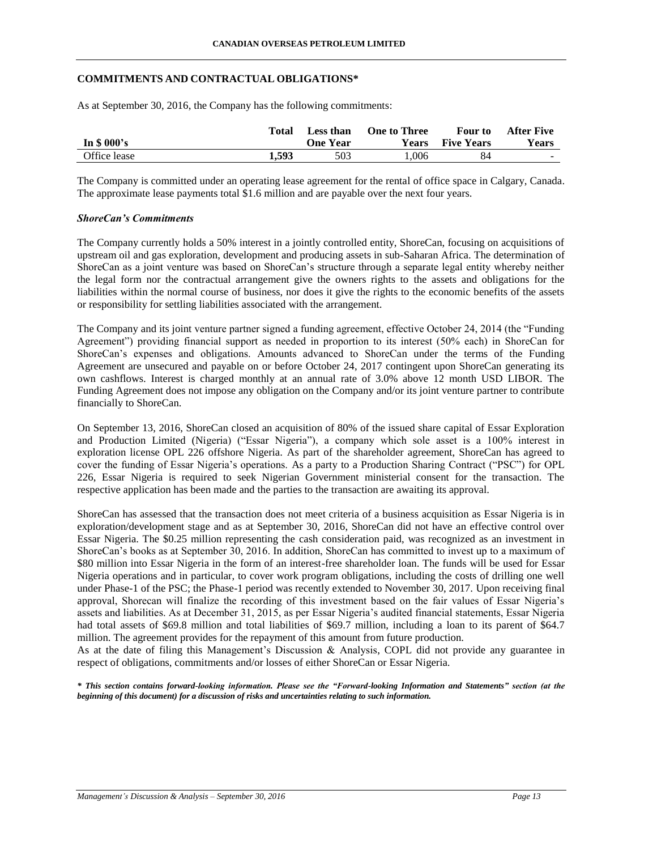#### **COMMITMENTS AND CONTRACTUAL OBLIGATIONS\***

As at September 30, 2016, the Company has the following commitments:

|              | Total | Less than       | <b>One to Three</b> | Four to           | <b>After Five</b> |
|--------------|-------|-----------------|---------------------|-------------------|-------------------|
| In $$000's$  |       | <b>One Year</b> | <b>Years</b>        | <b>Five Years</b> | <b>Years</b>      |
| Office lease | 1.593 | 503             | 1.006               | 84                | <u>. так</u>      |

The Company is committed under an operating lease agreement for the rental of office space in Calgary, Canada. The approximate lease payments total \$1.6 million and are payable over the next four years.

### *ShoreCan's Commitments*

The Company currently holds a 50% interest in a jointly controlled entity, ShoreCan, focusing on acquisitions of upstream oil and gas exploration, development and producing assets in sub-Saharan Africa. The determination of ShoreCan as a joint venture was based on ShoreCan's structure through a separate legal entity whereby neither the legal form nor the contractual arrangement give the owners rights to the assets and obligations for the liabilities within the normal course of business, nor does it give the rights to the economic benefits of the assets or responsibility for settling liabilities associated with the arrangement.

The Company and its joint venture partner signed a funding agreement, effective October 24, 2014 (the "Funding Agreement") providing financial support as needed in proportion to its interest (50% each) in ShoreCan for ShoreCan's expenses and obligations. Amounts advanced to ShoreCan under the terms of the Funding Agreement are unsecured and payable on or before October 24, 2017 contingent upon ShoreCan generating its own cashflows. Interest is charged monthly at an annual rate of 3.0% above 12 month USD LIBOR. The Funding Agreement does not impose any obligation on the Company and/or its joint venture partner to contribute financially to ShoreCan.

On September 13, 2016, ShoreCan closed an acquisition of 80% of the issued share capital of Essar Exploration and Production Limited (Nigeria) ("Essar Nigeria"), a company which sole asset is a 100% interest in exploration license OPL 226 offshore Nigeria. As part of the shareholder agreement, ShoreCan has agreed to cover the funding of Essar Nigeria's operations. As a party to a Production Sharing Contract ("PSC") for OPL 226, Essar Nigeria is required to seek Nigerian Government ministerial consent for the transaction. The respective application has been made and the parties to the transaction are awaiting its approval.

ShoreCan has assessed that the transaction does not meet criteria of a business acquisition as Essar Nigeria is in exploration/development stage and as at September 30, 2016, ShoreCan did not have an effective control over Essar Nigeria. The \$0.25 million representing the cash consideration paid, was recognized as an investment in ShoreCan's books as at September 30, 2016. In addition, ShoreCan has committed to invest up to a maximum of \$80 million into Essar Nigeria in the form of an interest-free shareholder loan. The funds will be used for Essar Nigeria operations and in particular, to cover work program obligations, including the costs of drilling one well under Phase-1 of the PSC; the Phase-1 period was recently extended to November 30, 2017. Upon receiving final approval, Shorecan will finalize the recording of this investment based on the fair values of Essar Nigeria's assets and liabilities. As at December 31, 2015, as per Essar Nigeria's audited financial statements, Essar Nigeria had total assets of \$69.8 million and total liabilities of \$69.7 million, including a loan to its parent of \$64.7 million. The agreement provides for the repayment of this amount from future production.

As at the date of filing this Management's Discussion & Analysis, COPL did not provide any guarantee in respect of obligations, commitments and/or losses of either ShoreCan or Essar Nigeria.

*\* This section contains forward-looking information. Please see the "Forward-looking Information and Statements" section (at the beginning of this document) for a discussion of risks and uncertainties relating to such information.*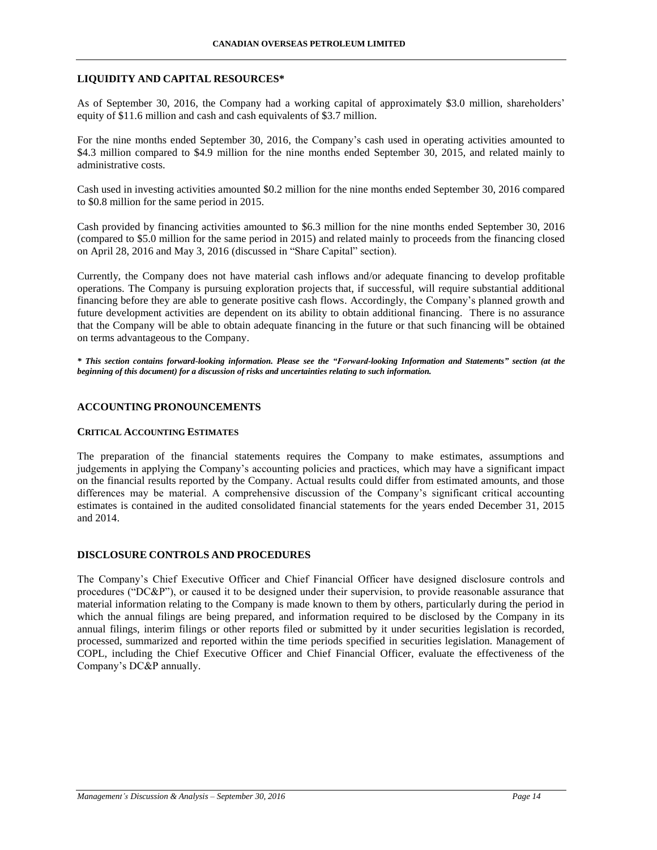### **LIQUIDITY AND CAPITAL RESOURCES\***

As of September 30, 2016, the Company had a working capital of approximately \$3.0 million, shareholders' equity of \$11.6 million and cash and cash equivalents of \$3.7 million.

For the nine months ended September 30, 2016, the Company's cash used in operating activities amounted to \$4.3 million compared to \$4.9 million for the nine months ended September 30, 2015, and related mainly to administrative costs.

Cash used in investing activities amounted \$0.2 million for the nine months ended September 30, 2016 compared to \$0.8 million for the same period in 2015.

Cash provided by financing activities amounted to \$6.3 million for the nine months ended September 30, 2016 (compared to \$5.0 million for the same period in 2015) and related mainly to proceeds from the financing closed on April 28, 2016 and May 3, 2016 (discussed in "Share Capital" section).

Currently, the Company does not have material cash inflows and/or adequate financing to develop profitable operations. The Company is pursuing exploration projects that, if successful, will require substantial additional financing before they are able to generate positive cash flows. Accordingly, the Company's planned growth and future development activities are dependent on its ability to obtain additional financing. There is no assurance that the Company will be able to obtain adequate financing in the future or that such financing will be obtained on terms advantageous to the Company.

*\* This section contains forward-looking information. Please see the "Forward-looking Information and Statements" section (at the beginning of this document) for a discussion of risks and uncertainties relating to such information.*

### **ACCOUNTING PRONOUNCEMENTS**

### **CRITICAL ACCOUNTING ESTIMATES**

The preparation of the financial statements requires the Company to make estimates, assumptions and judgements in applying the Company's accounting policies and practices, which may have a significant impact on the financial results reported by the Company. Actual results could differ from estimated amounts, and those differences may be material. A comprehensive discussion of the Company's significant critical accounting estimates is contained in the audited consolidated financial statements for the years ended December 31, 2015 and 2014.

### **DISCLOSURE CONTROLS AND PROCEDURES**

The Company's Chief Executive Officer and Chief Financial Officer have designed disclosure controls and procedures ("DC&P"), or caused it to be designed under their supervision, to provide reasonable assurance that material information relating to the Company is made known to them by others, particularly during the period in which the annual filings are being prepared, and information required to be disclosed by the Company in its annual filings, interim filings or other reports filed or submitted by it under securities legislation is recorded, processed, summarized and reported within the time periods specified in securities legislation. Management of COPL, including the Chief Executive Officer and Chief Financial Officer, evaluate the effectiveness of the Company's DC&P annually.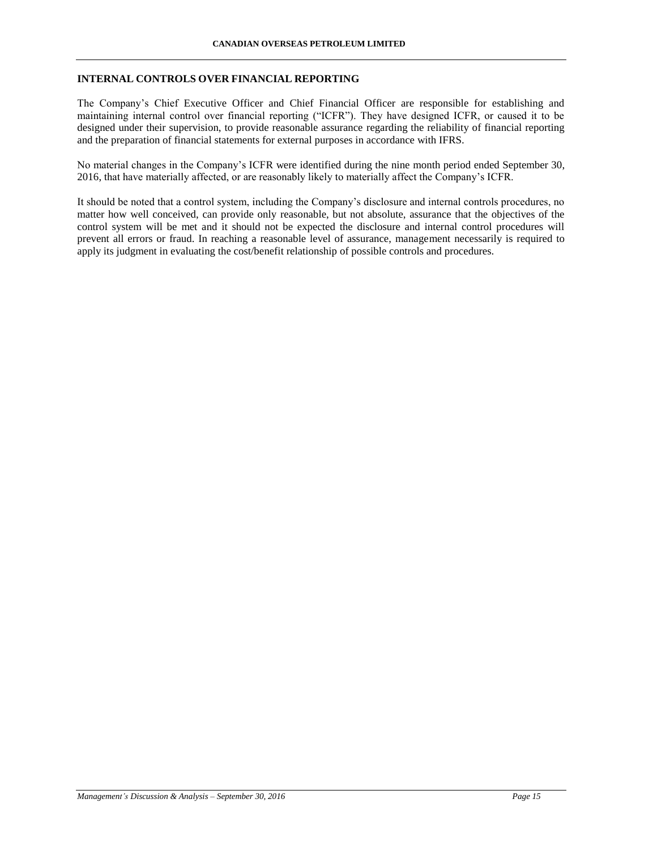## **INTERNAL CONTROLS OVER FINANCIAL REPORTING**

The Company's Chief Executive Officer and Chief Financial Officer are responsible for establishing and maintaining internal control over financial reporting ("ICFR"). They have designed ICFR, or caused it to be designed under their supervision, to provide reasonable assurance regarding the reliability of financial reporting and the preparation of financial statements for external purposes in accordance with IFRS.

No material changes in the Company's ICFR were identified during the nine month period ended September 30, 2016, that have materially affected, or are reasonably likely to materially affect the Company's ICFR.

It should be noted that a control system, including the Company's disclosure and internal controls procedures, no matter how well conceived, can provide only reasonable, but not absolute, assurance that the objectives of the control system will be met and it should not be expected the disclosure and internal control procedures will prevent all errors or fraud. In reaching a reasonable level of assurance, management necessarily is required to apply its judgment in evaluating the cost/benefit relationship of possible controls and procedures.